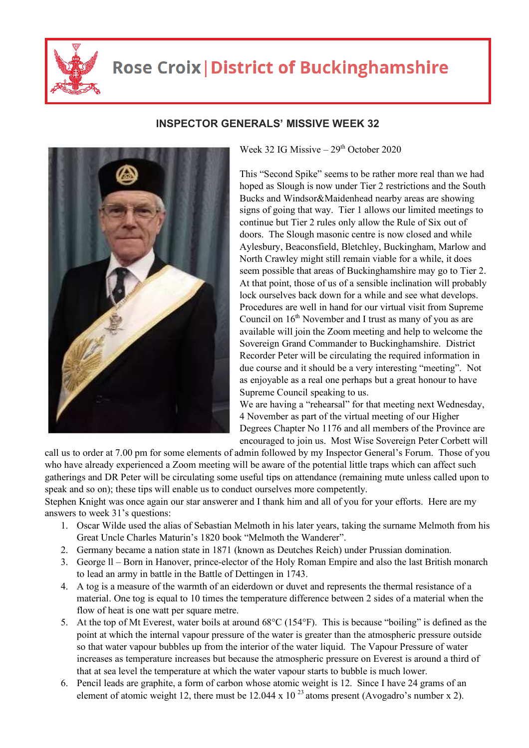

## **Rose Croix | District of Buckinghamshire**



## **INSPECTOR GENERALS' MISSIVE WEEK 32**

Week 32 IG Missive  $-29<sup>th</sup>$  October 2020

This "Second Spike" seems to be rather more real than we had hoped as Slough is now under Tier 2 restrictions and the South Bucks and Windsor&Maidenhead nearby areas are showing signs of going that way. Tier 1 allows our limited meetings to continue but Tier 2 rules only allow the Rule of Six out of doors. The Slough masonic centre is now closed and while Aylesbury, Beaconsfield, Bletchley, Buckingham, Marlow and North Crawley might still remain viable for a while, it does seem possible that areas of Buckinghamshire may go to Tier 2. At that point, those of us of a sensible inclination will probably lock ourselves back down for a while and see what develops. Procedures are well in hand for our virtual visit from Supreme Council on  $16<sup>th</sup>$  November and I trust as many of you as are available will join the Zoom meeting and help to welcome the Sovereign Grand Commander to Buckinghamshire. District Recorder Peter will be circulating the required information in due course and it should be a very interesting "meeting". Not as enjoyable as a real one perhaps but a great honour to have Supreme Council speaking to us.

We are having a "rehearsal" for that meeting next Wednesday, 4 November as part of the virtual meeting of our Higher Degrees Chapter No 1176 and all members of the Province are encouraged to join us. Most Wise Sovereign Peter Corbett will

call us to order at 7.00 pm for some elements of admin followed by my Inspector General's Forum. Those of you who have already experienced a Zoom meeting will be aware of the potential little traps which can affect such gatherings and DR Peter will be circulating some useful tips on attendance (remaining mute unless called upon to speak and so on); these tips will enable us to conduct ourselves more competently.

Stephen Knight was once again our star answerer and I thank him and all of you for your efforts. Here are my answers to week 31's questions:

- 1. Oscar Wilde used the alias of Sebastian Melmoth in his later years, taking the surname Melmoth from his Great Uncle Charles Maturin's 1820 book "Melmoth the Wanderer".
- 2. Germany became a nation state in 1871 (known as Deutches Reich) under Prussian domination.
- 3. George ll Born in Hanover, prince-elector of the Holy Roman Empire and also the last British monarch to lead an army in battle in the Battle of Dettingen in 1743.
- 4. A tog is a measure of the warmth of an eiderdown or duvet and represents the thermal resistance of a material. One tog is equal to 10 times the temperature difference between 2 sides of a material when the flow of heat is one watt per square metre.
- 5. At the top of Mt Everest, water boils at around 68°C (154°F). This is because "boiling" is defined as the point at which the internal vapour pressure of the water is greater than the atmospheric pressure outside so that water vapour bubbles up from the interior of the water liquid. The Vapour Pressure of water increases as temperature increases but because the atmospheric pressure on Everest is around a third of that at sea level the temperature at which the water vapour starts to bubble is much lower.
- 6. Pencil leads are graphite, a form of carbon whose atomic weight is 12. Since I have 24 grams of an element of atomic weight 12, there must be 12.044 x 10<sup>23</sup> atoms present (Avogadro's number x 2).